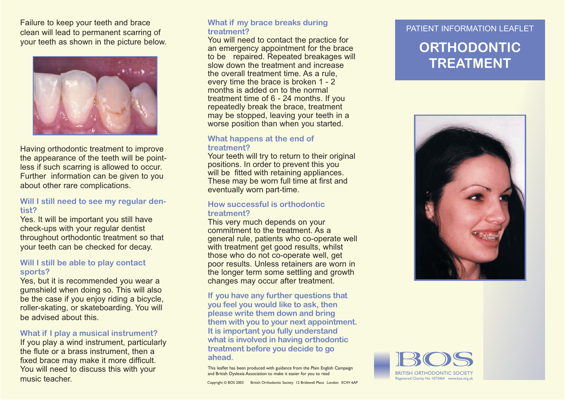Failure to keep your teeth and brace clean will lead to permanent scarring of your teeth as shown in the picture below.



Having orthodontic treatment to improve the appearance of the teeth will be pointless if such scarring is allowed to occur. Further information can be given to you about other rare complications.

#### **Will I still need to see my regular dentist?**

Yes. It will be important you still have check-ups with your regular dentist throughout orthodontic treatment so that your teeth can be checked for decay.

#### **Will I still be able to play contact sports?**

Yes, but it is recommended you wear a gumshield when doing so. This will also be the case if you enjoy riding a bicycle, roller-skating, or skateboarding. You will be advised about this.

#### **What if I play a musical instrument?**

If you play a wind instrument, particularly the flute or a brass instrument, then a fixed brace may make it more difficult. You will need to discuss this with your music teacher.

# PATIENT INFORMATION LEAFLET **What if my brace breaks during treatment?**

You will need to contact the practice for an emergency appointment for the brace to be repaired. Repeated breakages will slow down the treatment and increase the overall treatment time. As a rule, every time the brace is broken 1 - 2 months is added on to the normal treatment time of 6 - 24 months. If you repeatedly break the brace, treatment may be stopped, leaving your teeth in a worse position than when you started.

#### **What happens at the end of treatment?**

Your teeth will try to return to their original positions. In order to prevent this you will be fitted with retaining appliances. These may be worn full time at first and eventually worn part-time.

#### **How successful is orthodontic treatment?**

This very much depends on your commitment to the treatment. As a general rule, patients who co-operate well with treatment get good results, whilst those who do not co-operate well, get poor results. Unless retainers are worn in the longer term some settling and growth changes may occur after treatment.

#### **If you have any further questions that you feel you would like to ask, then please write them down and bring them with you to your next appointment. It is important you fully understand what is involved in having orthodontic treatment before you decide to go ahead.**

This leaflet has been produced with guidance from the Plain English Campaign and British Dyslexia Association to make it easier for you to read

## **ORTHODONTICTREATMENT**